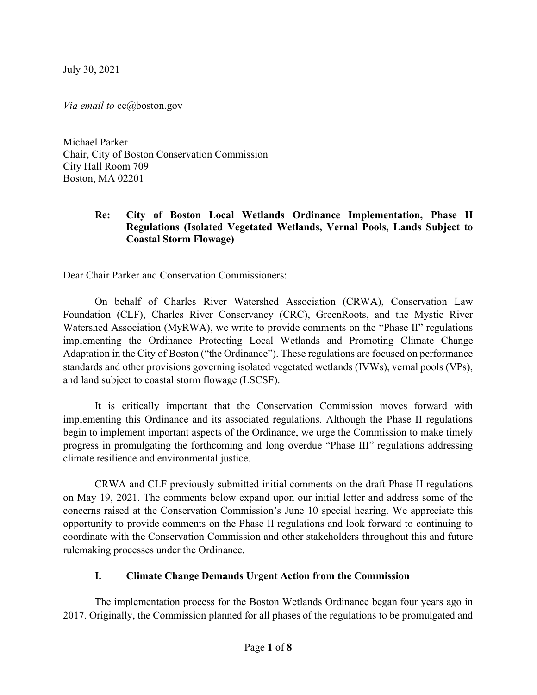July 30, 2021

Via email to cc@boston.gov

Michael Parker Chair, City of Boston Conservation Commission City Hall Room 709 Boston, MA 02201

### Re: City of Boston Local Wetlands Ordinance Implementation, Phase II Regulations (Isolated Vegetated Wetlands, Vernal Pools, Lands Subject to Coastal Storm Flowage)

Dear Chair Parker and Conservation Commissioners:

On behalf of Charles River Watershed Association (CRWA), Conservation Law Foundation (CLF), Charles River Conservancy (CRC), GreenRoots, and the Mystic River Watershed Association (MyRWA), we write to provide comments on the "Phase II" regulations implementing the Ordinance Protecting Local Wetlands and Promoting Climate Change Adaptation in the City of Boston ("the Ordinance"). These regulations are focused on performance standards and other provisions governing isolated vegetated wetlands (IVWs), vernal pools (VPs), and land subject to coastal storm flowage (LSCSF).

 It is critically important that the Conservation Commission moves forward with implementing this Ordinance and its associated regulations. Although the Phase II regulations begin to implement important aspects of the Ordinance, we urge the Commission to make timely progress in promulgating the forthcoming and long overdue "Phase III" regulations addressing climate resilience and environmental justice.

CRWA and CLF previously submitted initial comments on the draft Phase II regulations on May 19, 2021. The comments below expand upon our initial letter and address some of the concerns raised at the Conservation Commission's June 10 special hearing. We appreciate this opportunity to provide comments on the Phase II regulations and look forward to continuing to coordinate with the Conservation Commission and other stakeholders throughout this and future rulemaking processes under the Ordinance.

### I. Climate Change Demands Urgent Action from the Commission

The implementation process for the Boston Wetlands Ordinance began four years ago in 2017. Originally, the Commission planned for all phases of the regulations to be promulgated and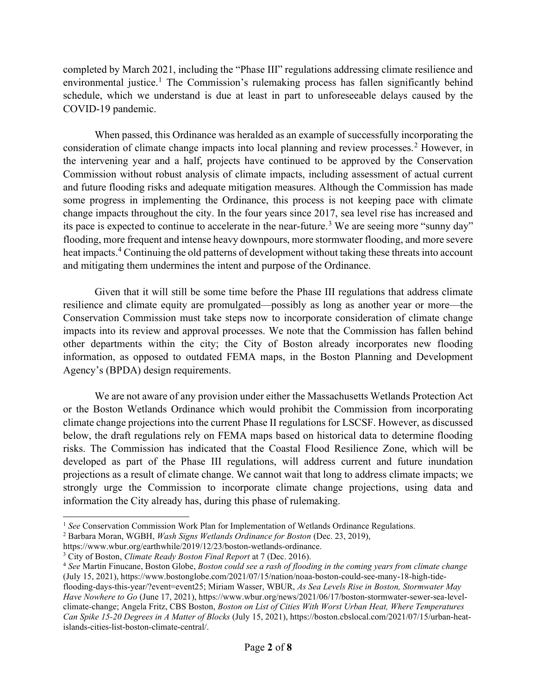completed by March 2021, including the "Phase III" regulations addressing climate resilience and environmental justice.<sup>1</sup> The Commission's rulemaking process has fallen significantly behind schedule, which we understand is due at least in part to unforeseeable delays caused by the COVID-19 pandemic.

 When passed, this Ordinance was heralded as an example of successfully incorporating the consideration of climate change impacts into local planning and review processes.<sup>2</sup> However, in the intervening year and a half, projects have continued to be approved by the Conservation Commission without robust analysis of climate impacts, including assessment of actual current and future flooding risks and adequate mitigation measures. Although the Commission has made some progress in implementing the Ordinance, this process is not keeping pace with climate change impacts throughout the city. In the four years since 2017, sea level rise has increased and its pace is expected to continue to accelerate in the near-future.<sup>3</sup> We are seeing more "sunny day" flooding, more frequent and intense heavy downpours, more stormwater flooding, and more severe heat impacts.<sup>4</sup> Continuing the old patterns of development without taking these threats into account and mitigating them undermines the intent and purpose of the Ordinance.

Given that it will still be some time before the Phase III regulations that address climate resilience and climate equity are promulgated—possibly as long as another year or more—the Conservation Commission must take steps now to incorporate consideration of climate change impacts into its review and approval processes. We note that the Commission has fallen behind other departments within the city; the City of Boston already incorporates new flooding information, as opposed to outdated FEMA maps, in the Boston Planning and Development Agency's (BPDA) design requirements.

We are not aware of any provision under either the Massachusetts Wetlands Protection Act or the Boston Wetlands Ordinance which would prohibit the Commission from incorporating climate change projections into the current Phase II regulations for LSCSF. However, as discussed below, the draft regulations rely on FEMA maps based on historical data to determine flooding risks. The Commission has indicated that the Coastal Flood Resilience Zone, which will be developed as part of the Phase III regulations, will address current and future inundation projections as a result of climate change. We cannot wait that long to address climate impacts; we strongly urge the Commission to incorporate climate change projections, using data and information the City already has, during this phase of rulemaking.

<sup>&</sup>lt;sup>1</sup> See Conservation Commission Work Plan for Implementation of Wetlands Ordinance Regulations.

<sup>&</sup>lt;sup>2</sup> Barbara Moran, WGBH, *Wash Signs Wetlands Ordinance for Boston* (Dec. 23, 2019),

https://www.wbur.org/earthwhile/2019/12/23/boston-wetlands-ordinance.

 $3$  City of Boston, *Climate Ready Boston Final Report* at 7 (Dec. 2016).

 $4$  See Martin Finucane, Boston Globe, Boston could see a rash of flooding in the coming years from climate change (July 15, 2021), https://www.bostonglobe.com/2021/07/15/nation/noaa-boston-could-see-many-18-high-tideflooding-days-this-year/?event=event25; Miriam Wasser, WBUR, As Sea Levels Rise in Boston, Stormwater May Have Nowhere to Go (June 17, 2021), https://www.wbur.org/news/2021/06/17/boston-stormwater-sewer-sea-levelclimate-change; Angela Fritz, CBS Boston, Boston on List of Cities With Worst Urban Heat, Where Temperatures Can Spike 15-20 Degrees in A Matter of Blocks (July 15, 2021), https://boston.cbslocal.com/2021/07/15/urban-heatislands-cities-list-boston-climate-central/.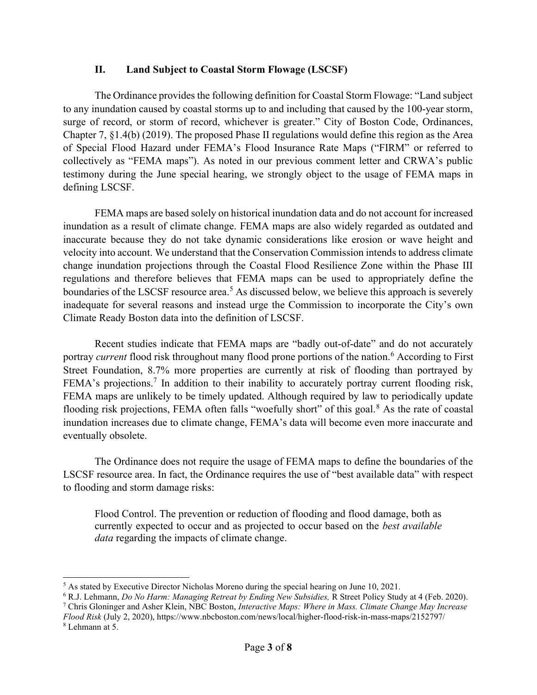### II. Land Subject to Coastal Storm Flowage (LSCSF)

 The Ordinance provides the following definition for Coastal Storm Flowage: "Land subject to any inundation caused by coastal storms up to and including that caused by the 100-year storm, surge of record, or storm of record, whichever is greater." City of Boston Code, Ordinances, Chapter 7, §1.4(b) (2019). The proposed Phase II regulations would define this region as the Area of Special Flood Hazard under FEMA's Flood Insurance Rate Maps ("FIRM" or referred to collectively as "FEMA maps"). As noted in our previous comment letter and CRWA's public testimony during the June special hearing, we strongly object to the usage of FEMA maps in defining LSCSF.

 FEMA maps are based solely on historical inundation data and do not account for increased inundation as a result of climate change. FEMA maps are also widely regarded as outdated and inaccurate because they do not take dynamic considerations like erosion or wave height and velocity into account. We understand that the Conservation Commission intends to address climate change inundation projections through the Coastal Flood Resilience Zone within the Phase III regulations and therefore believes that FEMA maps can be used to appropriately define the boundaries of the LSCSF resource area.<sup>5</sup> As discussed below, we believe this approach is severely inadequate for several reasons and instead urge the Commission to incorporate the City's own Climate Ready Boston data into the definition of LSCSF.

 Recent studies indicate that FEMA maps are "badly out-of-date" and do not accurately portray *current* flood risk throughout many flood prone portions of the nation.<sup>6</sup> According to First Street Foundation, 8.7% more properties are currently at risk of flooding than portrayed by FEMA's projections.<sup>7</sup> In addition to their inability to accurately portray current flooding risk, FEMA maps are unlikely to be timely updated. Although required by law to periodically update flooding risk projections, FEMA often falls "woefully short" of this goal.<sup>8</sup> As the rate of coastal inundation increases due to climate change, FEMA's data will become even more inaccurate and eventually obsolete.

 The Ordinance does not require the usage of FEMA maps to define the boundaries of the LSCSF resource area. In fact, the Ordinance requires the use of "best available data" with respect to flooding and storm damage risks:

Flood Control. The prevention or reduction of flooding and flood damage, both as currently expected to occur and as projected to occur based on the *best available* data regarding the impacts of climate change.

<sup>7</sup> Chris Gloninger and Asher Klein, NBC Boston, Interactive Maps: Where in Mass. Climate Change May Increase Flood Risk (July 2, 2020), https://www.nbcboston.com/news/local/higher-flood-risk-in-mass-maps/2152797/

 $<sup>5</sup>$  As stated by Executive Director Nicholas Moreno during the special hearing on June 10, 2021.</sup>

<sup>&</sup>lt;sup>6</sup> R.J. Lehmann, *Do No Harm: Managing Retreat by Ending New Subsidies*, R Street Policy Study at 4 (Feb. 2020).

<sup>8</sup> Lehmann at 5.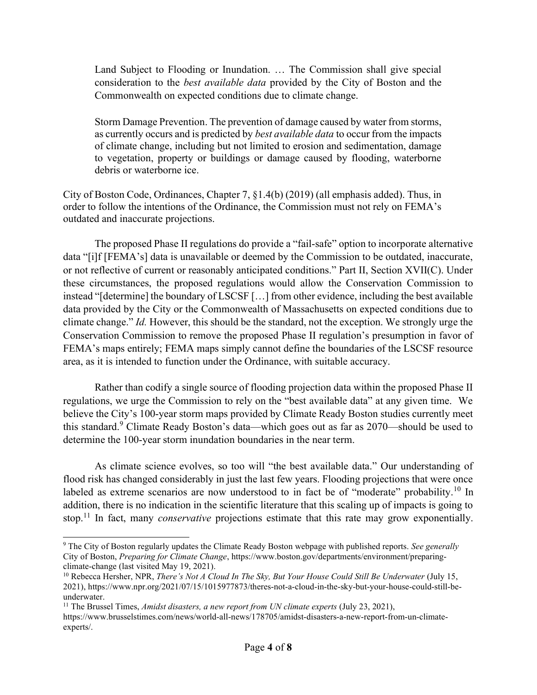Land Subject to Flooding or Inundation. … The Commission shall give special consideration to the best available data provided by the City of Boston and the Commonwealth on expected conditions due to climate change.

Storm Damage Prevention. The prevention of damage caused by water from storms, as currently occurs and is predicted by *best available data* to occur from the impacts of climate change, including but not limited to erosion and sedimentation, damage to vegetation, property or buildings or damage caused by flooding, waterborne debris or waterborne ice.

City of Boston Code, Ordinances, Chapter 7, §1.4(b) (2019) (all emphasis added). Thus, in order to follow the intentions of the Ordinance, the Commission must not rely on FEMA's outdated and inaccurate projections.

The proposed Phase II regulations do provide a "fail-safe" option to incorporate alternative data "[i]f [FEMA's] data is unavailable or deemed by the Commission to be outdated, inaccurate, or not reflective of current or reasonably anticipated conditions." Part II, Section XVII(C). Under these circumstances, the proposed regulations would allow the Conservation Commission to instead "[determine] the boundary of LSCSF […] from other evidence, including the best available data provided by the City or the Commonwealth of Massachusetts on expected conditions due to climate change." Id. However, this should be the standard, not the exception. We strongly urge the Conservation Commission to remove the proposed Phase II regulation's presumption in favor of FEMA's maps entirely; FEMA maps simply cannot define the boundaries of the LSCSF resource area, as it is intended to function under the Ordinance, with suitable accuracy.

Rather than codify a single source of flooding projection data within the proposed Phase II regulations, we urge the Commission to rely on the "best available data" at any given time. We believe the City's 100-year storm maps provided by Climate Ready Boston studies currently meet this standard.<sup>9</sup> Climate Ready Boston's data—which goes out as far as 2070—should be used to determine the 100-year storm inundation boundaries in the near term.

As climate science evolves, so too will "the best available data." Our understanding of flood risk has changed considerably in just the last few years. Flooding projections that were once labeled as extreme scenarios are now understood to in fact be of "moderate" probability.<sup>10</sup> In addition, there is no indication in the scientific literature that this scaling up of impacts is going to stop.<sup>11</sup> In fact, many *conservative* projections estimate that this rate may grow exponentially.

<sup>&</sup>lt;sup>9</sup> The City of Boston regularly updates the Climate Ready Boston webpage with published reports. See generally City of Boston, Preparing for Climate Change, https://www.boston.gov/departments/environment/preparingclimate-change (last visited May 19, 2021).

 $10$  Rebecca Hersher, NPR, There's Not A Cloud In The Sky, But Your House Could Still Be Underwater (July 15, 2021), https://www.npr.org/2021/07/15/1015977873/theres-not-a-cloud-in-the-sky-but-your-house-could-still-beunderwater.

<sup>&</sup>lt;sup>11</sup> The Brussel Times, *Amidst disasters, a new report from UN climate experts* (July 23, 2021), https://www.brusselstimes.com/news/world-all-news/178705/amidst-disasters-a-new-report-from-un-climateexperts/.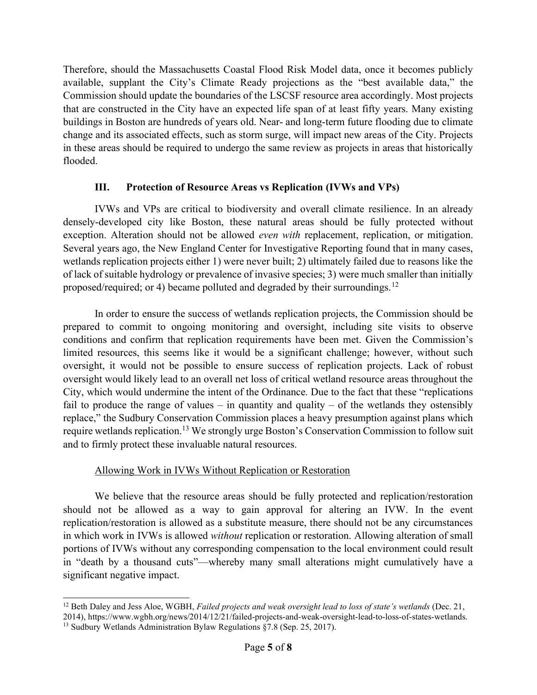Therefore, should the Massachusetts Coastal Flood Risk Model data, once it becomes publicly available, supplant the City's Climate Ready projections as the "best available data," the Commission should update the boundaries of the LSCSF resource area accordingly. Most projects that are constructed in the City have an expected life span of at least fifty years. Many existing buildings in Boston are hundreds of years old. Near- and long-term future flooding due to climate change and its associated effects, such as storm surge, will impact new areas of the City. Projects in these areas should be required to undergo the same review as projects in areas that historically flooded.

### III. Protection of Resource Areas vs Replication (IVWs and VPs)

IVWs and VPs are critical to biodiversity and overall climate resilience. In an already densely-developed city like Boston, these natural areas should be fully protected without exception. Alteration should not be allowed *even with* replacement, replication, or mitigation. Several years ago, the New England Center for Investigative Reporting found that in many cases, wetlands replication projects either 1) were never built; 2) ultimately failed due to reasons like the of lack of suitable hydrology or prevalence of invasive species; 3) were much smaller than initially proposed/required; or 4) became polluted and degraded by their surroundings.<sup>12</sup>

In order to ensure the success of wetlands replication projects, the Commission should be prepared to commit to ongoing monitoring and oversight, including site visits to observe conditions and confirm that replication requirements have been met. Given the Commission's limited resources, this seems like it would be a significant challenge; however, without such oversight, it would not be possible to ensure success of replication projects. Lack of robust oversight would likely lead to an overall net loss of critical wetland resource areas throughout the City, which would undermine the intent of the Ordinance. Due to the fact that these "replications fail to produce the range of values – in quantity and quality – of the wetlands they ostensibly replace," the Sudbury Conservation Commission places a heavy presumption against plans which require wetlands replication.<sup>13</sup> We strongly urge Boston's Conservation Commission to follow suit and to firmly protect these invaluable natural resources.

### Allowing Work in IVWs Without Replication or Restoration

We believe that the resource areas should be fully protected and replication/restoration should not be allowed as a way to gain approval for altering an IVW. In the event replication/restoration is allowed as a substitute measure, there should not be any circumstances in which work in IVWs is allowed without replication or restoration. Allowing alteration of small portions of IVWs without any corresponding compensation to the local environment could result in "death by a thousand cuts"—whereby many small alterations might cumulatively have a significant negative impact.

 $12$  Beth Daley and Jess Aloe, WGBH, Failed projects and weak oversight lead to loss of state's wetlands (Dec. 21, 2014), https://www.wgbh.org/news/2014/12/21/failed-projects-and-weak-oversight-lead-to-loss-of-states-wetlands.

<sup>&</sup>lt;sup>13</sup> Sudbury Wetlands Administration Bylaw Regulations §7.8 (Sep. 25, 2017).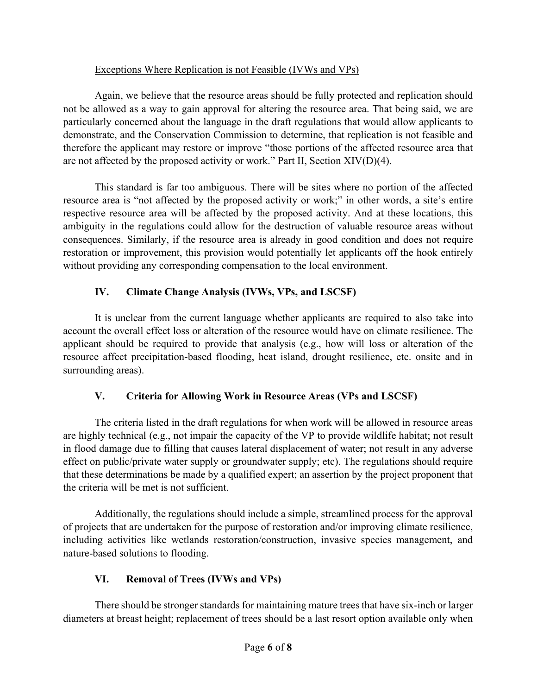## Exceptions Where Replication is not Feasible (IVWs and VPs)

Again, we believe that the resource areas should be fully protected and replication should not be allowed as a way to gain approval for altering the resource area. That being said, we are particularly concerned about the language in the draft regulations that would allow applicants to demonstrate, and the Conservation Commission to determine, that replication is not feasible and therefore the applicant may restore or improve "those portions of the affected resource area that are not affected by the proposed activity or work." Part II, Section XIV(D)(4).

This standard is far too ambiguous. There will be sites where no portion of the affected resource area is "not affected by the proposed activity or work;" in other words, a site's entire respective resource area will be affected by the proposed activity. And at these locations, this ambiguity in the regulations could allow for the destruction of valuable resource areas without consequences. Similarly, if the resource area is already in good condition and does not require restoration or improvement, this provision would potentially let applicants off the hook entirely without providing any corresponding compensation to the local environment.

## IV. Climate Change Analysis (IVWs, VPs, and LSCSF)

It is unclear from the current language whether applicants are required to also take into account the overall effect loss or alteration of the resource would have on climate resilience. The applicant should be required to provide that analysis (e.g., how will loss or alteration of the resource affect precipitation-based flooding, heat island, drought resilience, etc. onsite and in surrounding areas).

# V. Criteria for Allowing Work in Resource Areas (VPs and LSCSF)

The criteria listed in the draft regulations for when work will be allowed in resource areas are highly technical (e.g., not impair the capacity of the VP to provide wildlife habitat; not result in flood damage due to filling that causes lateral displacement of water; not result in any adverse effect on public/private water supply or groundwater supply; etc). The regulations should require that these determinations be made by a qualified expert; an assertion by the project proponent that the criteria will be met is not sufficient.

Additionally, the regulations should include a simple, streamlined process for the approval of projects that are undertaken for the purpose of restoration and/or improving climate resilience, including activities like wetlands restoration/construction, invasive species management, and nature-based solutions to flooding.

# VI. Removal of Trees (IVWs and VPs)

There should be stronger standards for maintaining mature trees that have six-inch or larger diameters at breast height; replacement of trees should be a last resort option available only when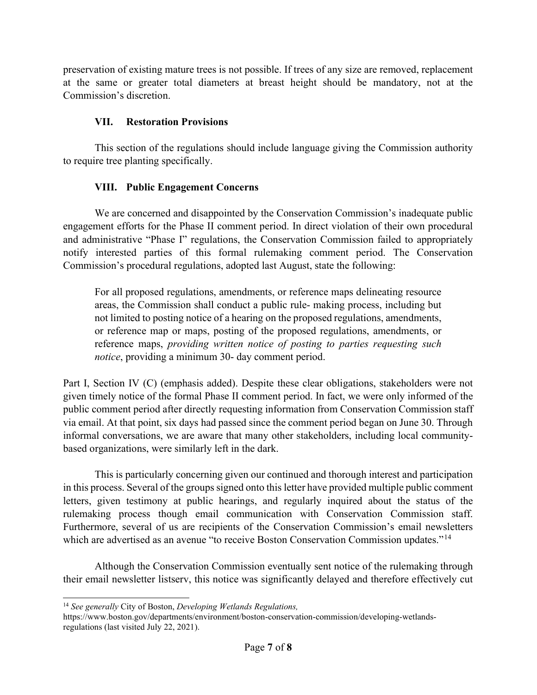preservation of existing mature trees is not possible. If trees of any size are removed, replacement at the same or greater total diameters at breast height should be mandatory, not at the Commission's discretion.

## VII. Restoration Provisions

This section of the regulations should include language giving the Commission authority to require tree planting specifically.

### VIII. Public Engagement Concerns

 We are concerned and disappointed by the Conservation Commission's inadequate public engagement efforts for the Phase II comment period. In direct violation of their own procedural and administrative "Phase I" regulations, the Conservation Commission failed to appropriately notify interested parties of this formal rulemaking comment period. The Conservation Commission's procedural regulations, adopted last August, state the following:

For all proposed regulations, amendments, or reference maps delineating resource areas, the Commission shall conduct a public rule- making process, including but not limited to posting notice of a hearing on the proposed regulations, amendments, or reference map or maps, posting of the proposed regulations, amendments, or reference maps, *providing written notice of posting to parties requesting such* notice, providing a minimum 30- day comment period.

Part I, Section IV (C) (emphasis added). Despite these clear obligations, stakeholders were not given timely notice of the formal Phase II comment period. In fact, we were only informed of the public comment period after directly requesting information from Conservation Commission staff via email. At that point, six days had passed since the comment period began on June 30. Through informal conversations, we are aware that many other stakeholders, including local communitybased organizations, were similarly left in the dark.

 This is particularly concerning given our continued and thorough interest and participation in this process. Several of the groups signed onto this letter have provided multiple public comment letters, given testimony at public hearings, and regularly inquired about the status of the rulemaking process though email communication with Conservation Commission staff. Furthermore, several of us are recipients of the Conservation Commission's email newsletters which are advertised as an avenue "to receive Boston Conservation Commission updates."<sup>14</sup>

 Although the Conservation Commission eventually sent notice of the rulemaking through their email newsletter listserv, this notice was significantly delayed and therefore effectively cut

 $14$  See generally City of Boston, Developing Wetlands Regulations,

https://www.boston.gov/departments/environment/boston-conservation-commission/developing-wetlandsregulations (last visited July 22, 2021).